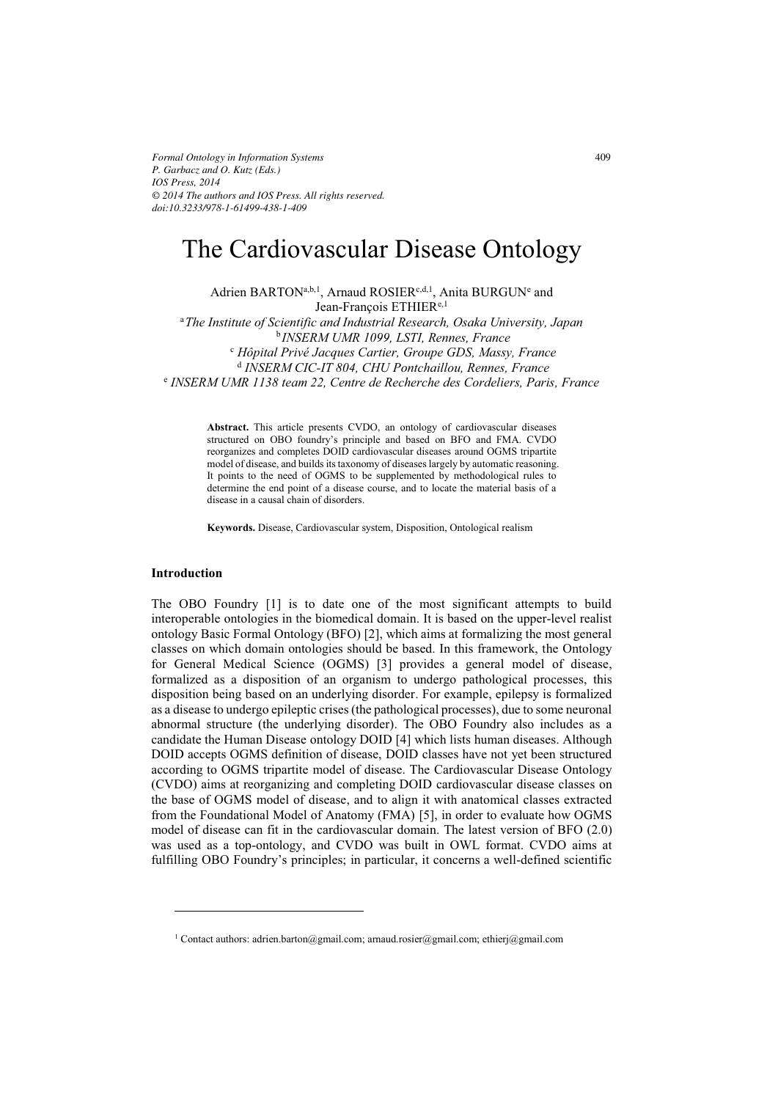# The Cardiovascular Disease Ontology

Adrien BARTON<sup>a,b,1</sup>, Arnaud ROSIER<sup>c,d,1</sup>, Anita BURGUN<sup>e</sup> and Jean-François ETHIER<sup>e,1</sup> <sup>a</sup>*The Institute of Scientific and Industrial Research, Osaka University, Japan*  <sup>b</sup> *INSERM UMR 1099, LSTI, Rennes, France* c  *Hôpital Privé Jacques Cartier, Groupe GDS, Massy, France* d  *INSERM CIC-IT 804, CHU Pontchaillou, Rennes, France* e  *INSERM UMR 1138 team 22, Centre de Recherche des Cordeliers, Paris, France* 

**Abstract.** This article presents CVDO, an ontology of cardiovascular diseases structured on OBO foundry's principle and based on BFO and FMA. CVDO reorganizes and completes DOID cardiovascular diseases around OGMS tripartite model of disease, and builds its taxonomy of diseases largely by automatic reasoning. It points to the need of OGMS to be supplemented by methodological rules to determine the end point of a disease course, and to locate the material basis of a disease in a causal chain of disorders.

**Keywords.** Disease, Cardiovascular system, Disposition, Ontological realism

### **Introduction**

-

The OBO Foundry [1] is to date one of the most significant attempts to build interoperable ontologies in the biomedical domain. It is based on the upper-level realist ontology Basic Formal Ontology (BFO) [2], which aims at formalizing the most general classes on which domain ontologies should be based. In this framework, the Ontology for General Medical Science (OGMS) [3] provides a general model of disease, formalized as a disposition of an organism to undergo pathological processes, this disposition being based on an underlying disorder. For example, epilepsy is formalized as a disease to undergo epileptic crises (the pathological processes), due to some neuronal abnormal structure (the underlying disorder). The OBO Foundry also includes as a candidate the Human Disease ontology DOID [4] which lists human diseases. Although DOID accepts OGMS definition of disease, DOID classes have not yet been structured according to OGMS tripartite model of disease. The Cardiovascular Disease Ontology (CVDO) aims at reorganizing and completing DOID cardiovascular disease classes on the base of OGMS model of disease, and to align it with anatomical classes extracted from the Foundational Model of Anatomy (FMA) [5], in order to evaluate how OGMS model of disease can fit in the cardiovascular domain. The latest version of BFO (2.0) was used as a top-ontology, and CVDO was built in OWL format. CVDO aims at fulfilling OBO Foundry's principles; in particular, it concerns a well-defined scientific

<sup>&</sup>lt;sup>1</sup> Contact authors: adrien.barton@gmail.com; arnaud.rosier@gmail.com; ethierj@gmail.com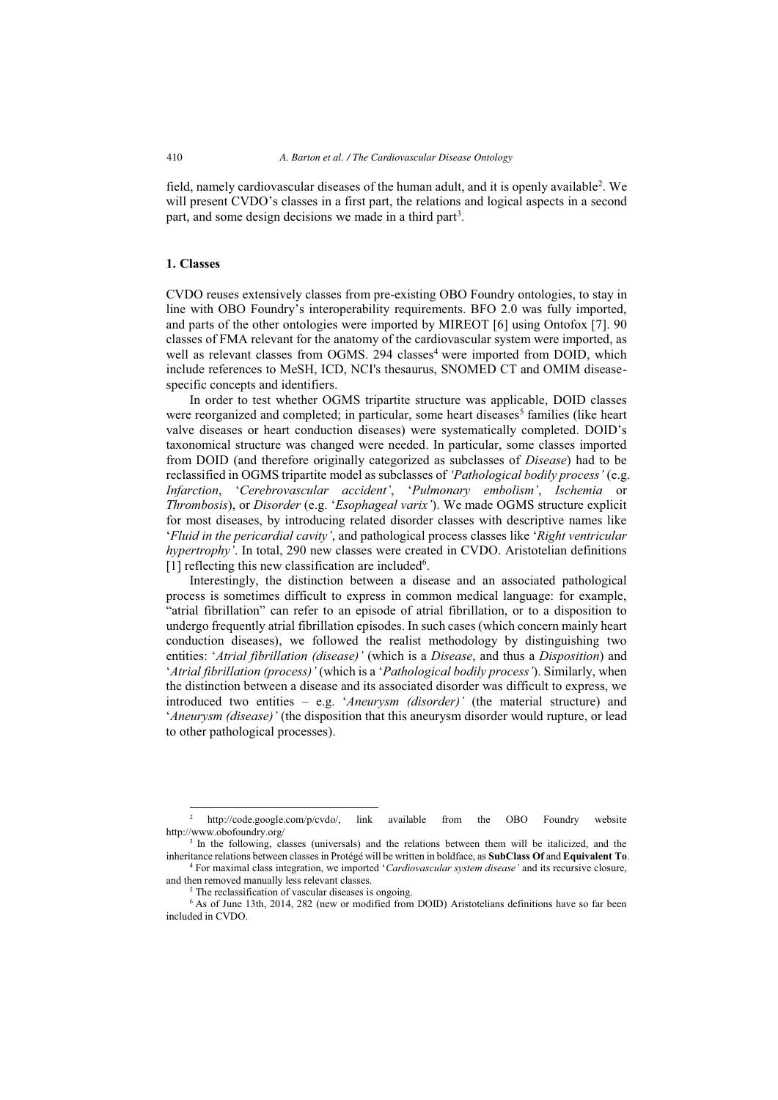field, namely cardiovascular diseases of the human adult, and it is openly available2 . We will present CVDO's classes in a first part, the relations and logical aspects in a second part, and some design decisions we made in a third part<sup>3</sup>.

## **1. Classes**

j

CVDO reuses extensively classes from pre-existing OBO Foundry ontologies, to stay in line with OBO Foundry's interoperability requirements. BFO 2.0 was fully imported, and parts of the other ontologies were imported by MIREOT [6] using Ontofox [7]. 90 classes of FMA relevant for the anatomy of the cardiovascular system were imported, as well as relevant classes from OGMS. 294 classes<sup>4</sup> were imported from DOID, which include references to MeSH, ICD, NCI's thesaurus, SNOMED CT and OMIM diseasespecific concepts and identifiers.

In order to test whether OGMS tripartite structure was applicable, DOID classes were reorganized and completed; in particular, some heart diseases<sup>5</sup> families (like heart valve diseases or heart conduction diseases) were systematically completed. DOID's taxonomical structure was changed were needed. In particular, some classes imported from DOID (and therefore originally categorized as subclasses of *Disease*) had to be reclassified in OGMS tripartite model as subclasses of *'Pathological bodily process'* (e.g. *Infarction*, '*Cerebrovascular accident'*, '*Pulmonary embolism'*, *Ischemia* or *Thrombosis*), or *Disorder* (e.g. '*Esophageal varix'*). We made OGMS structure explicit for most diseases, by introducing related disorder classes with descriptive names like '*Fluid in the pericardial cavity'*, and pathological process classes like '*Right ventricular hypertrophy'*. In total, 290 new classes were created in CVDO. Aristotelian definitions [1] reflecting this new classification are included<sup>6</sup>.

Interestingly, the distinction between a disease and an associated pathological process is sometimes difficult to express in common medical language: for example, "atrial fibrillation" can refer to an episode of atrial fibrillation, or to a disposition to undergo frequently atrial fibrillation episodes. In such cases (which concern mainly heart conduction diseases), we followed the realist methodology by distinguishing two entities: '*Atrial fibrillation (disease)'* (which is a *Disease*, and thus a *Disposition*) and '*Atrial fibrillation (process)'* (which is a '*Pathological bodily process'*). Similarly, when the distinction between a disease and its associated disorder was difficult to express, we introduced two entities – e.g. '*Aneurysm (disorder)'* (the material structure) and '*Aneurysm (disease)'* (the disposition that this aneurysm disorder would rupture, or lead to other pathological processes).

<sup>&</sup>lt;sup>2</sup> http://code.google.com/p/cvdo/, link available from the OBO Foundry website http://www.obofoundry.org/

<sup>&</sup>lt;sup>3</sup> In the following, classes (universals) and the relations between them will be italicized, and the inheritance relations between classes in Protégé will be written in boldface, as **SubClass Of and Equivalent To**.<br><sup>4</sup> For maximal class integration, we imported '*Cardiovascular system disease'* and its recursive closure,

and then removed manually less relevant classes.

<sup>&</sup>lt;sup>5</sup> The reclassification of vascular diseases is ongoing.

<sup>6</sup> As of June 13th, 2014, 282 (new or modified from DOID) Aristotelians definitions have so far been included in CVDO.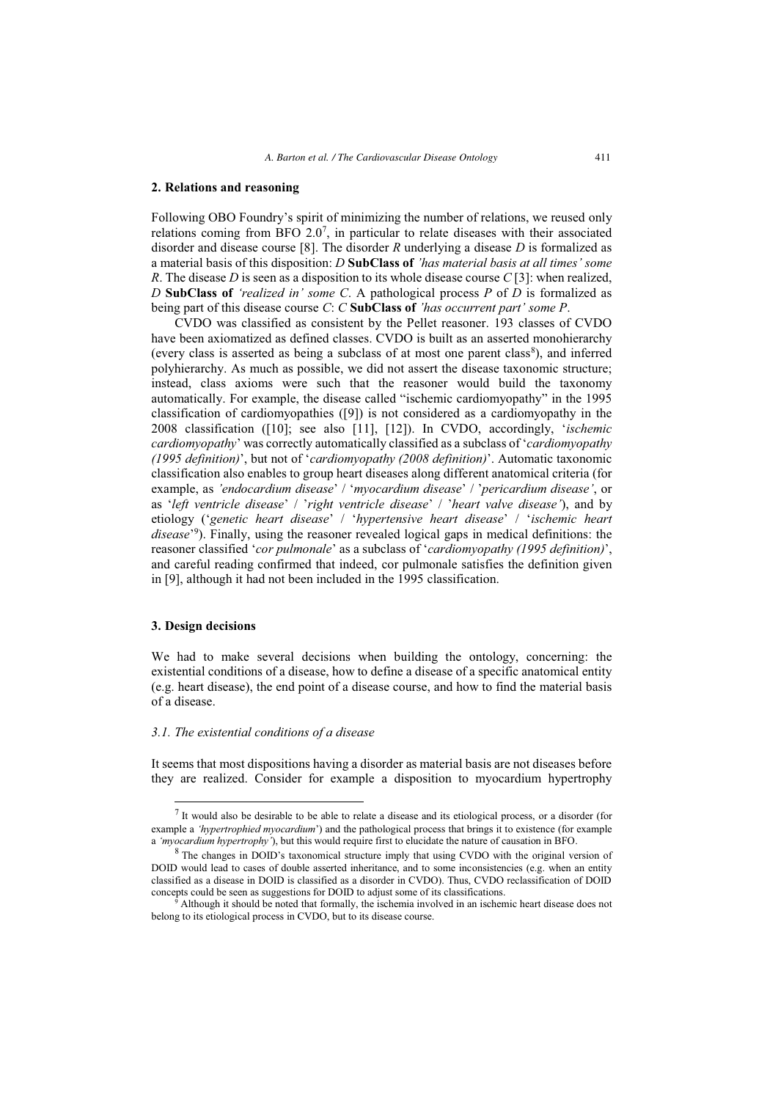#### **2. Relations and reasoning**

Following OBO Foundry's spirit of minimizing the number of relations, we reused only relations coming from BFO  $2.0<sup>7</sup>$ , in particular to relate diseases with their associated disorder and disease course [8]. The disorder *R* underlying a disease *D* is formalized as a material basis of this disposition: *D* **SubClass of** *'has material basis at all times' some R*. The disease *D* is seen as a disposition to its whole disease course *C* [3]: when realized, *D* **SubClass of** *'realized in' some C*. A pathological process *P* of *D* is formalized as being part of this disease course *C*: *C* **SubClass of** *'has occurrent part' some P*.

CVDO was classified as consistent by the Pellet reasoner. 193 classes of CVDO have been axiomatized as defined classes. CVDO is built as an asserted monohierarchy (every class is asserted as being a subclass of at most one parent class<sup>8</sup>), and inferred polyhierarchy. As much as possible, we did not assert the disease taxonomic structure; instead, class axioms were such that the reasoner would build the taxonomy automatically. For example, the disease called "ischemic cardiomyopathy" in the 1995 classification of cardiomyopathies ([9]) is not considered as a cardiomyopathy in the 2008 classification ([10]; see also [11], [12]). In CVDO, accordingly, '*ischemic cardiomyopathy*' was correctly automatically classified as a subclass of '*cardiomyopathy (1995 definition)*', but not of '*cardiomyopathy (2008 definition)*'. Automatic taxonomic classification also enables to group heart diseases along different anatomical criteria (for example, as *'endocardium disease*' / '*myocardium disease*' / '*pericardium disease'*, or as '*left ventricle disease*' / '*right ventricle disease*' / '*heart valve disease'*), and by etiology ('*genetic heart disease*' / '*hypertensive heart disease*' / '*ischemic heart disease*' 9 ). Finally, using the reasoner revealed logical gaps in medical definitions: the reasoner classified '*cor pulmonale*' as a subclass of '*cardiomyopathy (1995 definition)*', and careful reading confirmed that indeed, cor pulmonale satisfies the definition given in [9], although it had not been included in the 1995 classification.

# **3. Design decisions**

-

We had to make several decisions when building the ontology, concerning: the existential conditions of a disease, how to define a disease of a specific anatomical entity (e.g. heart disease), the end point of a disease course, and how to find the material basis of a disease.

#### *3.1. The existential conditions of a disease*

It seems that most dispositions having a disorder as material basis are not diseases before they are realized. Consider for example a disposition to myocardium hypertrophy

 $<sup>7</sup>$  It would also be desirable to be able to relate a disease and its etiological process, or a disorder (for</sup> example a *'hypertrophied myocardium*') and the pathological process that brings it to existence (for example <sup>a</sup>*'myocardium hypertrophy'*), but this would require first to elucidate the nature of causation in BFO. 8

<sup>&</sup>lt;sup>8</sup> The changes in DOID's taxonomical structure imply that using CVDO with the original version of DOID would lead to cases of double asserted inheritance, and to some inconsistencies (e.g. when an entity classified as a disease in DOID is classified as a disorder in CVDO). Thus, CVDO reclassification of DOID concepts could be seen as suggestions for DOID to adjust some of its classifications.

Although it should be noted that formally, the ischemia involved in an ischemic heart disease does not belong to its etiological process in CVDO, but to its disease course.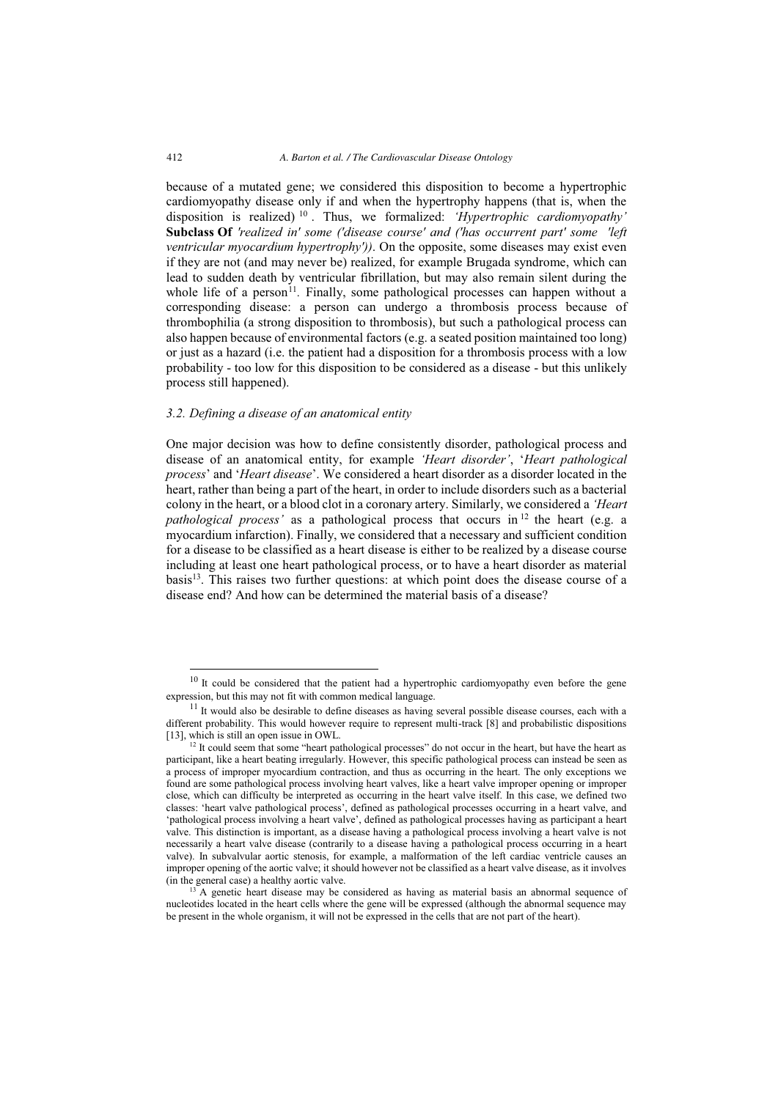because of a mutated gene; we considered this disposition to become a hypertrophic cardiomyopathy disease only if and when the hypertrophy happens (that is, when the disposition is realized) <sup>10</sup> . Thus, we formalized: *'Hypertrophic cardiomyopathy'* **Subclass Of** *'realized in' some ('disease course' and ('has occurrent part' some 'left ventricular myocardium hypertrophy'))*. On the opposite, some diseases may exist even if they are not (and may never be) realized, for example Brugada syndrome, which can lead to sudden death by ventricular fibrillation, but may also remain silent during the whole life of a person<sup>11</sup>. Finally, some pathological processes can happen without a corresponding disease: a person can undergo a thrombosis process because of thrombophilia (a strong disposition to thrombosis), but such a pathological process can also happen because of environmental factors (e.g. a seated position maintained too long) or just as a hazard (i.e. the patient had a disposition for a thrombosis process with a low probability - too low for this disposition to be considered as a disease - but this unlikely process still happened).

### *3.2. Defining a disease of an anatomical entity*

One major decision was how to define consistently disorder, pathological process and disease of an anatomical entity, for example *'Heart disorder'*, '*Heart pathological process*' and '*Heart disease*'. We considered a heart disorder as a disorder located in the heart, rather than being a part of the heart, in order to include disorders such as a bacterial colony in the heart, or a blood clot in a coronary artery. Similarly, we considered a *'Heart pathological process'* as a pathological process that occurs in <sup>12</sup> the heart (e.g. a myocardium infarction). Finally, we considered that a necessary and sufficient condition for a disease to be classified as a heart disease is either to be realized by a disease course including at least one heart pathological process, or to have a heart disorder as material  $basis<sup>13</sup>$ . This raises two further questions: at which point does the disease course of a disease end? And how can be determined the material basis of a disease?

j

 $10$  It could be considered that the patient had a hypertrophic cardiomyopathy even before the gene expression, but this may not fit with common medical language.

 $11$  It would also be desirable to define diseases as having several possible disease courses, each with a different probability. This would however require to represent multi-track [8] and probabilistic dispositions [13], which is still an open issue in OWL.

 $12$  It could seem that some "heart pathological processes" do not occur in the heart, but have the heart as participant, like a heart beating irregularly. However, this specific pathological process can instead be seen as a process of improper myocardium contraction, and thus as occurring in the heart. The only exceptions we found are some pathological process involving heart valves, like a heart valve improper opening or improper close, which can difficulty be interpreted as occurring in the heart valve itself. In this case, we defined two classes: 'heart valve pathological process', defined as pathological processes occurring in a heart valve, and 'pathological process involving a heart valve', defined as pathological processes having as participant a heart valve. This distinction is important, as a disease having a pathological process involving a heart valve is not necessarily a heart valve disease (contrarily to a disease having a pathological process occurring in a heart valve). In subvalvular aortic stenosis, for example, a malformation of the left cardiac ventricle causes an improper opening of the aortic valve; it should however not be classified as a heart valve disease, as it involves

 $13$ <sup>13</sup> A genetic heart disease may be considered as having as material basis an abnormal sequence of nucleotides located in the heart cells where the gene will be expressed (although the abnormal sequence may be present in the whole organism, it will not be expressed in the cells that are not part of the heart).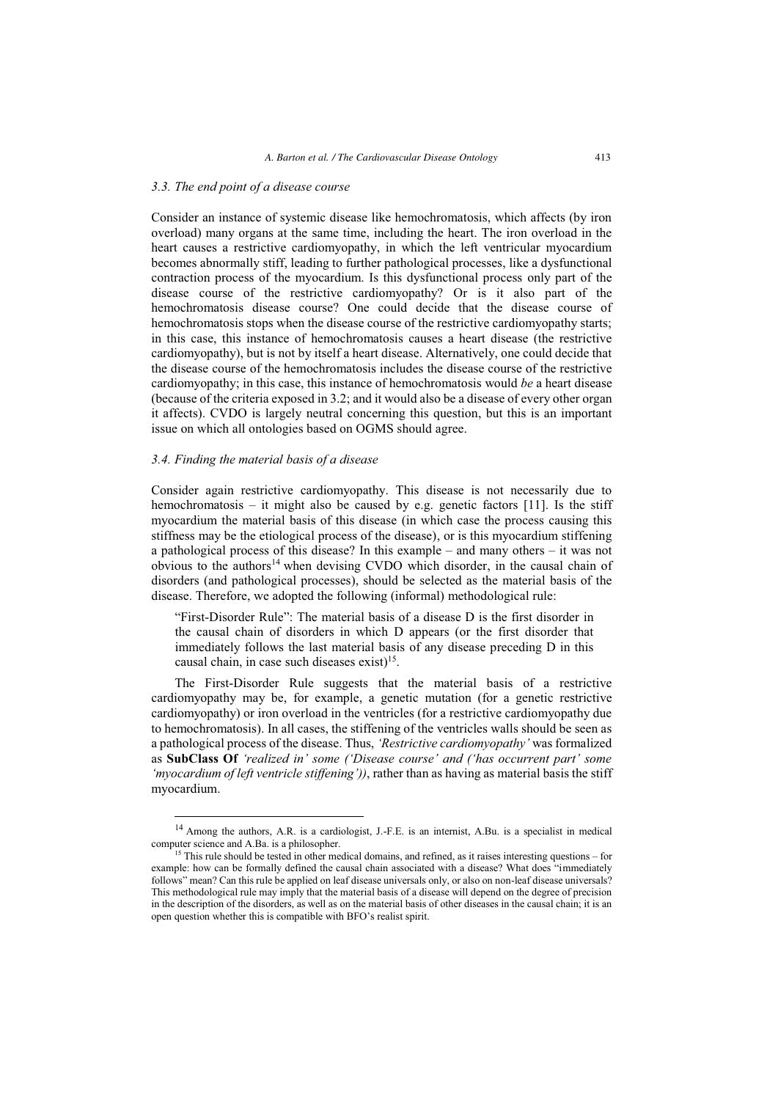#### *3.3. The end point of a disease course*

Consider an instance of systemic disease like hemochromatosis, which affects (by iron overload) many organs at the same time, including the heart. The iron overload in the heart causes a restrictive cardiomyopathy, in which the left ventricular myocardium becomes abnormally stiff, leading to further pathological processes, like a dysfunctional contraction process of the myocardium. Is this dysfunctional process only part of the disease course of the restrictive cardiomyopathy? Or is it also part of the hemochromatosis disease course? One could decide that the disease course of hemochromatosis stops when the disease course of the restrictive cardiomyopathy starts; in this case, this instance of hemochromatosis causes a heart disease (the restrictive cardiomyopathy), but is not by itself a heart disease. Alternatively, one could decide that the disease course of the hemochromatosis includes the disease course of the restrictive cardiomyopathy; in this case, this instance of hemochromatosis would *be* a heart disease (because of the criteria exposed in 3.2; and it would also be a disease of every other organ it affects). CVDO is largely neutral concerning this question, but this is an important issue on which all ontologies based on OGMS should agree.

#### *3.4. Finding the material basis of a disease*

-

Consider again restrictive cardiomyopathy. This disease is not necessarily due to hemochromatosis – it might also be caused by e.g. genetic factors [11]. Is the stiff myocardium the material basis of this disease (in which case the process causing this stiffness may be the etiological process of the disease), or is this myocardium stiffening a pathological process of this disease? In this example – and many others – it was not obvious to the authors<sup>14</sup> when devising CVDO which disorder, in the causal chain of disorders (and pathological processes), should be selected as the material basis of the disease. Therefore, we adopted the following (informal) methodological rule:

"First-Disorder Rule": The material basis of a disease D is the first disorder in the causal chain of disorders in which D appears (or the first disorder that immediately follows the last material basis of any disease preceding D in this causal chain, in case such diseases exist)<sup>15</sup>.

The First-Disorder Rule suggests that the material basis of a restrictive cardiomyopathy may be, for example, a genetic mutation (for a genetic restrictive cardiomyopathy) or iron overload in the ventricles (for a restrictive cardiomyopathy due to hemochromatosis). In all cases, the stiffening of the ventricles walls should be seen as a pathological process of the disease. Thus, *'Restrictive cardiomyopathy'* was formalized as **SubClass Of** *'realized in' some ('Disease course' and ('has occurrent part' some 'myocardium of left ventricle stiffening'))*, rather than as having as material basis the stiff myocardium.

<sup>&</sup>lt;sup>14</sup> Among the authors, A.R. is a cardiologist, J.-F.E. is an internist, A.Bu. is a specialist in medical computer science and A.Ba. is a philosopher.<br><sup>15</sup> This rule should be tested in other medical domains, and refined, as it raises interesting questions – for

example: how can be formally defined the causal chain associated with a disease? What does "immediately follows" mean? Can this rule be applied on leaf disease universals only, or also on non-leaf disease universals? This methodological rule may imply that the material basis of a disease will depend on the degree of precision in the description of the disorders, as well as on the material basis of other diseases in the causal chain; it is an open question whether this is compatible with BFO's realist spirit.